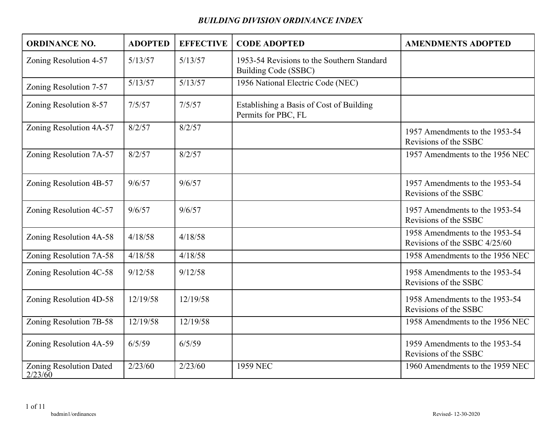| <b>ORDINANCE NO.</b>               | <b>ADOPTED</b> | <b>EFFECTIVE</b> | <b>CODE ADOPTED</b>                                                | <b>AMENDMENTS ADOPTED</b>                                       |
|------------------------------------|----------------|------------------|--------------------------------------------------------------------|-----------------------------------------------------------------|
| Zoning Resolution 4-57             | 5/13/57        | 5/13/57          | 1953-54 Revisions to the Southern Standard<br>Building Code (SSBC) |                                                                 |
| Zoning Resolution 7-57             | 5/13/57        | 5/13/57          | 1956 National Electric Code (NEC)                                  |                                                                 |
| Zoning Resolution 8-57             | 7/5/57         | 7/5/57           | Establishing a Basis of Cost of Building<br>Permits for PBC, FL    |                                                                 |
| Zoning Resolution 4A-57            | 8/2/57         | 8/2/57           |                                                                    | 1957 Amendments to the 1953-54<br>Revisions of the SSBC         |
| Zoning Resolution 7A-57            | 8/2/57         | 8/2/57           |                                                                    | 1957 Amendments to the 1956 NEC                                 |
| Zoning Resolution 4B-57            | 9/6/57         | 9/6/57           |                                                                    | 1957 Amendments to the 1953-54<br>Revisions of the SSBC         |
| Zoning Resolution 4C-57            | 9/6/57         | 9/6/57           |                                                                    | 1957 Amendments to the 1953-54<br>Revisions of the SSBC         |
| Zoning Resolution 4A-58            | 4/18/58        | 4/18/58          |                                                                    | 1958 Amendments to the 1953-54<br>Revisions of the SSBC 4/25/60 |
| Zoning Resolution 7A-58            | 4/18/58        | 4/18/58          |                                                                    | 1958 Amendments to the 1956 NEC                                 |
| Zoning Resolution 4C-58            | 9/12/58        | 9/12/58          |                                                                    | 1958 Amendments to the 1953-54<br>Revisions of the SSBC         |
| Zoning Resolution 4D-58            | 12/19/58       | 12/19/58         |                                                                    | 1958 Amendments to the 1953-54<br>Revisions of the SSBC         |
| Zoning Resolution 7B-58            | 12/19/58       | 12/19/58         |                                                                    | 1958 Amendments to the 1956 NEC                                 |
| Zoning Resolution 4A-59            | 6/5/59         | 6/5/59           |                                                                    | 1959 Amendments to the 1953-54<br>Revisions of the SSBC         |
| Zoning Resolution Dated<br>2/23/60 | 2/23/60        | 2/23/60          | 1959 NEC                                                           | 1960 Amendments to the 1959 NEC                                 |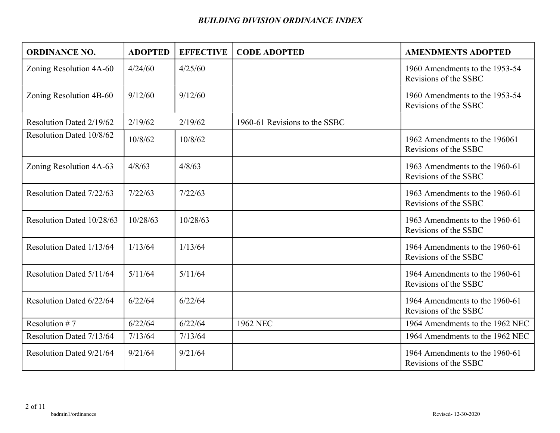| <b>ORDINANCE NO.</b>      | <b>ADOPTED</b> | <b>EFFECTIVE</b> | <b>CODE ADOPTED</b>           | <b>AMENDMENTS ADOPTED</b>                               |
|---------------------------|----------------|------------------|-------------------------------|---------------------------------------------------------|
| Zoning Resolution 4A-60   | 4/24/60        | 4/25/60          |                               | 1960 Amendments to the 1953-54<br>Revisions of the SSBC |
| Zoning Resolution 4B-60   | 9/12/60        | 9/12/60          |                               | 1960 Amendments to the 1953-54<br>Revisions of the SSBC |
| Resolution Dated 2/19/62  | 2/19/62        | 2/19/62          | 1960-61 Revisions to the SSBC |                                                         |
| Resolution Dated 10/8/62  | 10/8/62        | 10/8/62          |                               | 1962 Amendments to the 196061<br>Revisions of the SSBC  |
| Zoning Resolution 4A-63   | 4/8/63         | 4/8/63           |                               | 1963 Amendments to the 1960-61<br>Revisions of the SSBC |
| Resolution Dated 7/22/63  | 7/22/63        | 7/22/63          |                               | 1963 Amendments to the 1960-61<br>Revisions of the SSBC |
| Resolution Dated 10/28/63 | 10/28/63       | 10/28/63         |                               | 1963 Amendments to the 1960-61<br>Revisions of the SSBC |
| Resolution Dated 1/13/64  | 1/13/64        | 1/13/64          |                               | 1964 Amendments to the 1960-61<br>Revisions of the SSBC |
| Resolution Dated 5/11/64  | 5/11/64        | 5/11/64          |                               | 1964 Amendments to the 1960-61<br>Revisions of the SSBC |
| Resolution Dated 6/22/64  | 6/22/64        | 6/22/64          |                               | 1964 Amendments to the 1960-61<br>Revisions of the SSBC |
| Resolution #7             | 6/22/64        | 6/22/64          | <b>1962 NEC</b>               | 1964 Amendments to the 1962 NEC                         |
| Resolution Dated 7/13/64  | 7/13/64        | 7/13/64          |                               | 1964 Amendments to the 1962 NEC                         |
| Resolution Dated 9/21/64  | 9/21/64        | 9/21/64          |                               | 1964 Amendments to the 1960-61<br>Revisions of the SSBC |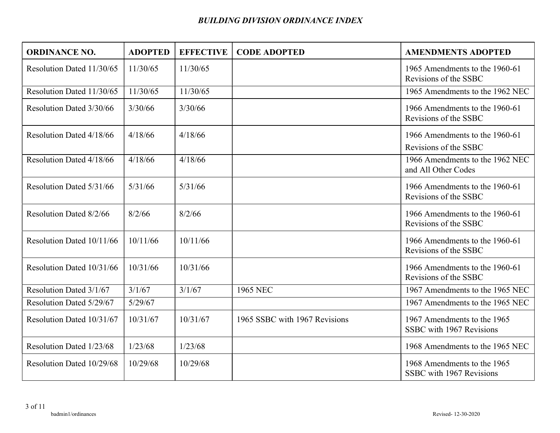| <b>ORDINANCE NO.</b>      | <b>ADOPTED</b> | <b>EFFECTIVE</b> | <b>CODE ADOPTED</b>           | <b>AMENDMENTS ADOPTED</b>                               |
|---------------------------|----------------|------------------|-------------------------------|---------------------------------------------------------|
| Resolution Dated 11/30/65 | 11/30/65       | 11/30/65         |                               | 1965 Amendments to the 1960-61<br>Revisions of the SSBC |
| Resolution Dated 11/30/65 | 11/30/65       | 11/30/65         |                               | 1965 Amendments to the 1962 NEC                         |
| Resolution Dated 3/30/66  | 3/30/66        | 3/30/66          |                               | 1966 Amendments to the 1960-61<br>Revisions of the SSBC |
| Resolution Dated 4/18/66  | 4/18/66        | 4/18/66          |                               | 1966 Amendments to the 1960-61<br>Revisions of the SSBC |
| Resolution Dated 4/18/66  | 4/18/66        | 4/18/66          |                               | 1966 Amendments to the 1962 NEC<br>and All Other Codes  |
| Resolution Dated 5/31/66  | 5/31/66        | 5/31/66          |                               | 1966 Amendments to the 1960-61<br>Revisions of the SSBC |
| Resolution Dated 8/2/66   | 8/2/66         | 8/2/66           |                               | 1966 Amendments to the 1960-61<br>Revisions of the SSBC |
| Resolution Dated 10/11/66 | 10/11/66       | 10/11/66         |                               | 1966 Amendments to the 1960-61<br>Revisions of the SSBC |
| Resolution Dated 10/31/66 | 10/31/66       | 10/31/66         |                               | 1966 Amendments to the 1960-61<br>Revisions of the SSBC |
| Resolution Dated 3/1/67   | 3/1/67         | 3/1/67           | 1965 NEC                      | 1967 Amendments to the 1965 NEC                         |
| Resolution Dated 5/29/67  | 5/29/67        |                  |                               | 1967 Amendments to the 1965 NEC                         |
| Resolution Dated 10/31/67 | 10/31/67       | 10/31/67         | 1965 SSBC with 1967 Revisions | 1967 Amendments to the 1965<br>SSBC with 1967 Revisions |
| Resolution Dated 1/23/68  | 1/23/68        | 1/23/68          |                               | 1968 Amendments to the 1965 NEC                         |
| Resolution Dated 10/29/68 | 10/29/68       | 10/29/68         |                               | 1968 Amendments to the 1965<br>SSBC with 1967 Revisions |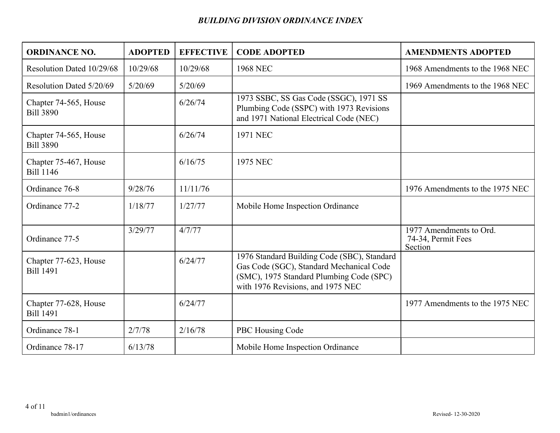| <b>ORDINANCE NO.</b>                      | <b>ADOPTED</b> | <b>EFFECTIVE</b> | <b>CODE ADOPTED</b>                                                                                                                                                      | <b>AMENDMENTS ADOPTED</b>                                |
|-------------------------------------------|----------------|------------------|--------------------------------------------------------------------------------------------------------------------------------------------------------------------------|----------------------------------------------------------|
| Resolution Dated 10/29/68                 | 10/29/68       | 10/29/68         | <b>1968 NEC</b>                                                                                                                                                          | 1968 Amendments to the 1968 NEC                          |
| Resolution Dated 5/20/69                  | 5/20/69        | 5/20/69          |                                                                                                                                                                          | 1969 Amendments to the 1968 NEC                          |
| Chapter 74-565, House<br><b>Bill 3890</b> |                | 6/26/74          | 1973 SSBC, SS Gas Code (SSGC), 1971 SS<br>Plumbing Code (SSPC) with 1973 Revisions<br>and 1971 National Electrical Code (NEC)                                            |                                                          |
| Chapter 74-565, House<br><b>Bill 3890</b> |                | 6/26/74          | <b>1971 NEC</b>                                                                                                                                                          |                                                          |
| Chapter 75-467, House<br><b>Bill 1146</b> |                | 6/16/75          | <b>1975 NEC</b>                                                                                                                                                          |                                                          |
| Ordinance 76-8                            | 9/28/76        | 11/11/76         |                                                                                                                                                                          | 1976 Amendments to the 1975 NEC                          |
| Ordinance 77-2                            | 1/18/77        | 1/27/77          | Mobile Home Inspection Ordinance                                                                                                                                         |                                                          |
| Ordinance 77-5                            | 3/29/77        | 4/7/77           |                                                                                                                                                                          | 1977 Amendments to Ord.<br>74-34, Permit Fees<br>Section |
| Chapter 77-623, House<br><b>Bill 1491</b> |                | 6/24/77          | 1976 Standard Building Code (SBC), Standard<br>Gas Code (SGC), Standard Mechanical Code<br>(SMC), 1975 Standard Plumbing Code (SPC)<br>with 1976 Revisions, and 1975 NEC |                                                          |
| Chapter 77-628, House<br><b>Bill 1491</b> |                | 6/24/77          |                                                                                                                                                                          | 1977 Amendments to the 1975 NEC                          |
| Ordinance 78-1                            | 2/7/78         | 2/16/78          | PBC Housing Code                                                                                                                                                         |                                                          |
| Ordinance 78-17                           | 6/13/78        |                  | Mobile Home Inspection Ordinance                                                                                                                                         |                                                          |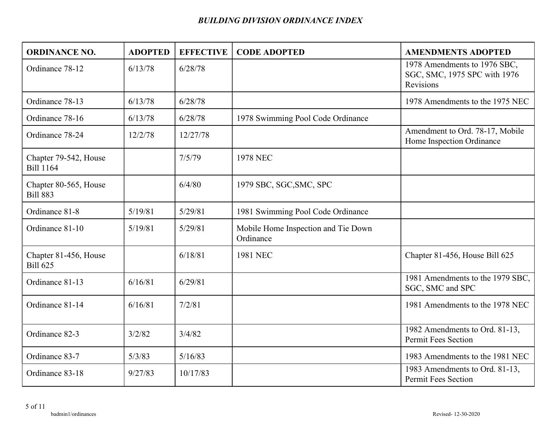| <b>ORDINANCE NO.</b>                      | <b>ADOPTED</b> | <b>EFFECTIVE</b> | <b>CODE ADOPTED</b>                              | <b>AMENDMENTS ADOPTED</b>                                                 |
|-------------------------------------------|----------------|------------------|--------------------------------------------------|---------------------------------------------------------------------------|
| Ordinance 78-12                           | 6/13/78        | 6/28/78          |                                                  | 1978 Amendments to 1976 SBC,<br>SGC, SMC, 1975 SPC with 1976<br>Revisions |
| Ordinance 78-13                           | 6/13/78        | 6/28/78          |                                                  | 1978 Amendments to the 1975 NEC                                           |
| Ordinance 78-16                           | 6/13/78        | 6/28/78          | 1978 Swimming Pool Code Ordinance                |                                                                           |
| Ordinance 78-24                           | 12/2/78        | 12/27/78         |                                                  | Amendment to Ord. 78-17, Mobile<br>Home Inspection Ordinance              |
| Chapter 79-542, House<br><b>Bill 1164</b> |                | 7/5/79           | <b>1978 NEC</b>                                  |                                                                           |
| Chapter 80-565, House<br><b>Bill 883</b>  |                | 6/4/80           | 1979 SBC, SGC, SMC, SPC                          |                                                                           |
| Ordinance 81-8                            | 5/19/81        | 5/29/81          | 1981 Swimming Pool Code Ordinance                |                                                                           |
| Ordinance 81-10                           | 5/19/81        | 5/29/81          | Mobile Home Inspection and Tie Down<br>Ordinance |                                                                           |
| Chapter 81-456, House<br><b>Bill 625</b>  |                | 6/18/81          | <b>1981 NEC</b>                                  | Chapter 81-456, House Bill 625                                            |
| Ordinance 81-13                           | 6/16/81        | 6/29/81          |                                                  | 1981 Amendments to the 1979 SBC,<br>SGC, SMC and SPC                      |
| Ordinance 81-14                           | 6/16/81        | 7/2/81           |                                                  | 1981 Amendments to the 1978 NEC                                           |
| Ordinance 82-3                            | 3/2/82         | 3/4/82           |                                                  | 1982 Amendments to Ord. 81-13,<br><b>Permit Fees Section</b>              |
| Ordinance 83-7                            | 5/3/83         | 5/16/83          |                                                  | 1983 Amendments to the 1981 NEC                                           |
| Ordinance 83-18                           | 9/27/83        | 10/17/83         |                                                  | 1983 Amendments to Ord. 81-13,<br><b>Permit Fees Section</b>              |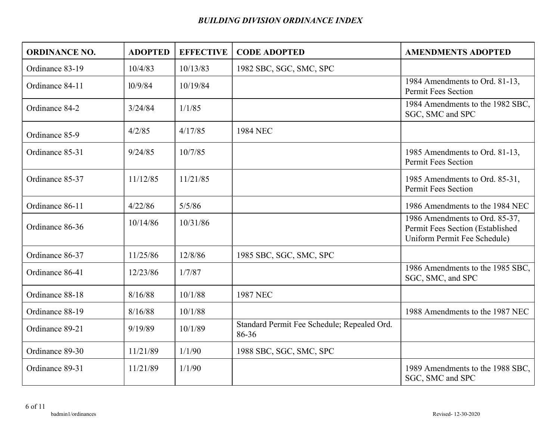| <b>ORDINANCE NO.</b> | <b>ADOPTED</b> | <b>EFFECTIVE</b> | <b>CODE ADOPTED</b>                                  | <b>AMENDMENTS ADOPTED</b>                                                                          |
|----------------------|----------------|------------------|------------------------------------------------------|----------------------------------------------------------------------------------------------------|
| Ordinance 83-19      | 10/4/83        | 10/13/83         | 1982 SBC, SGC, SMC, SPC                              |                                                                                                    |
| Ordinance 84-11      | 10/9/84        | 10/19/84         |                                                      | 1984 Amendments to Ord. 81-13,<br><b>Permit Fees Section</b>                                       |
| Ordinance 84-2       | 3/24/84        | 1/1/85           |                                                      | 1984 Amendments to the 1982 SBC,<br>SGC, SMC and SPC                                               |
| Ordinance 85-9       | 4/2/85         | 4/17/85          | 1984 NEC                                             |                                                                                                    |
| Ordinance 85-31      | 9/24/85        | 10/7/85          |                                                      | 1985 Amendments to Ord. 81-13,<br><b>Permit Fees Section</b>                                       |
| Ordinance 85-37      | 11/12/85       | 11/21/85         |                                                      | 1985 Amendments to Ord. 85-31,<br><b>Permit Fees Section</b>                                       |
| Ordinance 86-11      | 4/22/86        | 5/5/86           |                                                      | 1986 Amendments to the 1984 NEC                                                                    |
| Ordinance 86-36      | 10/14/86       | 10/31/86         |                                                      | 1986 Amendments to Ord. 85-37,<br>Permit Fees Section (Established<br>Uniform Permit Fee Schedule) |
| Ordinance 86-37      | 11/25/86       | 12/8/86          | 1985 SBC, SGC, SMC, SPC                              |                                                                                                    |
| Ordinance 86-41      | 12/23/86       | 1/7/87           |                                                      | 1986 Amendments to the 1985 SBC,<br>SGC, SMC, and SPC                                              |
| Ordinance 88-18      | 8/16/88        | 10/1/88          | <b>1987 NEC</b>                                      |                                                                                                    |
| Ordinance 88-19      | 8/16/88        | 10/1/88          |                                                      | 1988 Amendments to the 1987 NEC                                                                    |
| Ordinance 89-21      | 9/19/89        | 10/1/89          | Standard Permit Fee Schedule; Repealed Ord.<br>86-36 |                                                                                                    |
| Ordinance 89-30      | 11/21/89       | 1/1/90           | 1988 SBC, SGC, SMC, SPC                              |                                                                                                    |
| Ordinance 89-31      | 11/21/89       | 1/1/90           |                                                      | 1989 Amendments to the 1988 SBC,<br>SGC, SMC and SPC                                               |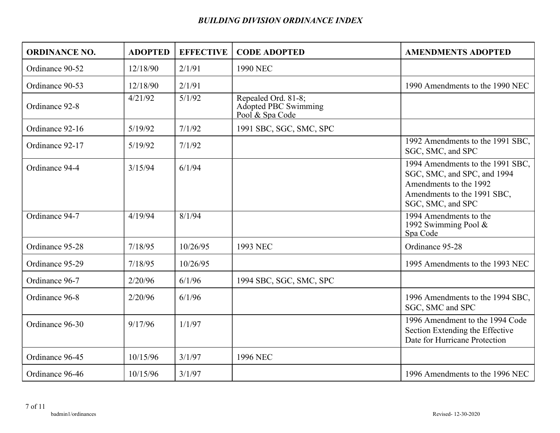| <b>ORDINANCE NO.</b> | <b>ADOPTED</b> | <b>EFFECTIVE</b> | <b>CODE ADOPTED</b>                                            | <b>AMENDMENTS ADOPTED</b>                                                                                                                     |
|----------------------|----------------|------------------|----------------------------------------------------------------|-----------------------------------------------------------------------------------------------------------------------------------------------|
| Ordinance 90-52      | 12/18/90       | 2/1/91           | 1990 NEC                                                       |                                                                                                                                               |
| Ordinance 90-53      | 12/18/90       | 2/1/91           |                                                                | 1990 Amendments to the 1990 NEC                                                                                                               |
| Ordinance 92-8       | 4/21/92        | 5/1/92           | Repealed Ord. 81-8;<br>Adopted PBC Swimming<br>Pool & Spa Code |                                                                                                                                               |
| Ordinance 92-16      | 5/19/92        | 7/1/92           | 1991 SBC, SGC, SMC, SPC                                        |                                                                                                                                               |
| Ordinance 92-17      | 5/19/92        | 7/1/92           |                                                                | 1992 Amendments to the 1991 SBC,<br>SGC, SMC, and SPC                                                                                         |
| Ordinance 94-4       | 3/15/94        | 6/1/94           |                                                                | 1994 Amendments to the 1991 SBC,<br>SGC, SMC, and SPC, and 1994<br>Amendments to the 1992<br>Amendments to the 1991 SBC,<br>SGC, SMC, and SPC |
| Ordinance 94-7       | 4/19/94        | 8/1/94           |                                                                | 1994 Amendments to the<br>1992 Swimming Pool &<br>Spa Code                                                                                    |
| Ordinance 95-28      | 7/18/95        | 10/26/95         | 1993 NEC                                                       | Ordinance 95-28                                                                                                                               |
| Ordinance 95-29      | 7/18/95        | 10/26/95         |                                                                | 1995 Amendments to the 1993 NEC                                                                                                               |
| Ordinance 96-7       | 2/20/96        | 6/1/96           | 1994 SBC, SGC, SMC, SPC                                        |                                                                                                                                               |
| Ordinance 96-8       | 2/20/96        | 6/1/96           |                                                                | 1996 Amendments to the 1994 SBC,<br>SGC, SMC and SPC                                                                                          |
| Ordinance 96-30      | 9/17/96        | 1/1/97           |                                                                | 1996 Amendment to the 1994 Code<br>Section Extending the Effective<br>Date for Hurricane Protection                                           |
| Ordinance 96-45      | 10/15/96       | 3/1/97           | 1996 NEC                                                       |                                                                                                                                               |
| Ordinance 96-46      | 10/15/96       | 3/1/97           |                                                                | 1996 Amendments to the 1996 NEC                                                                                                               |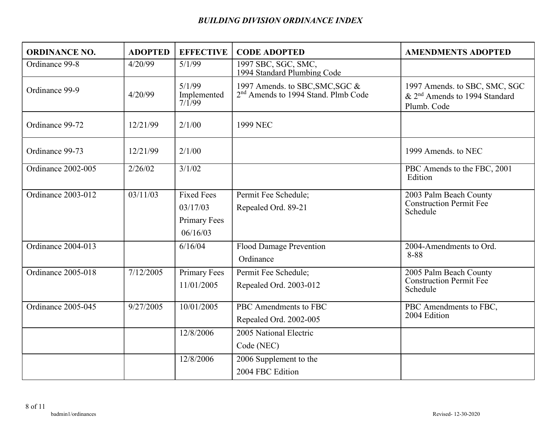| <b>ORDINANCE NO.</b> | <b>ADOPTED</b> | <b>EFFECTIVE</b>                                                 | <b>CODE ADOPTED</b>                                                                | <b>AMENDMENTS ADOPTED</b>                                                                 |
|----------------------|----------------|------------------------------------------------------------------|------------------------------------------------------------------------------------|-------------------------------------------------------------------------------------------|
| Ordinance 99-8       | 4/20/99        | 5/1/99                                                           | 1997 SBC, SGC, SMC,<br>1994 Standard Plumbing Code                                 |                                                                                           |
| Ordinance 99-9       | 4/20/99        | 5/1/99<br>Implemented<br>7/1/99                                  | 1997 Amends. to SBC, SMC, SGC &<br>2 <sup>nd</sup> Amends to 1994 Stand. Plmb Code | 1997 Amends. to SBC, SMC, SGC<br>& 2 <sup>nd</sup> Amends to 1994 Standard<br>Plumb. Code |
| Ordinance 99-72      | 12/21/99       | 2/1/00                                                           | 1999 NEC                                                                           |                                                                                           |
| Ordinance 99-73      | 12/21/99       | 2/1/00                                                           |                                                                                    | 1999 Amends, to NEC                                                                       |
| Ordinance 2002-005   | 2/26/02        | 3/1/02                                                           |                                                                                    | PBC Amends to the FBC, 2001<br>Edition                                                    |
| Ordinance 2003-012   | 03/11/03       | <b>Fixed Fees</b><br>03/17/03<br><b>Primary Fees</b><br>06/16/03 | Permit Fee Schedule;<br>Repealed Ord. 89-21                                        | 2003 Palm Beach County<br>Construction Permit Fee<br>Schedule                             |
| Ordinance 2004-013   |                | 6/16/04                                                          | <b>Flood Damage Prevention</b><br>Ordinance                                        | 2004-Amendments to Ord.<br>8-88                                                           |
| Ordinance 2005-018   | 7/12/2005      | <b>Primary Fees</b><br>11/01/2005                                | Permit Fee Schedule;<br>Repealed Ord. 2003-012                                     | 2005 Palm Beach County<br><b>Construction Permit Fee</b><br>Schedule                      |
| Ordinance 2005-045   | 9/27/2005      | 10/01/2005                                                       | PBC Amendments to FBC<br>Repealed Ord. 2002-005                                    | PBC Amendments to FBC,<br>2004 Edition                                                    |
|                      |                | 12/8/2006                                                        | 2005 National Electric<br>Code (NEC)                                               |                                                                                           |
|                      |                | 12/8/2006                                                        | 2006 Supplement to the<br>2004 FBC Edition                                         |                                                                                           |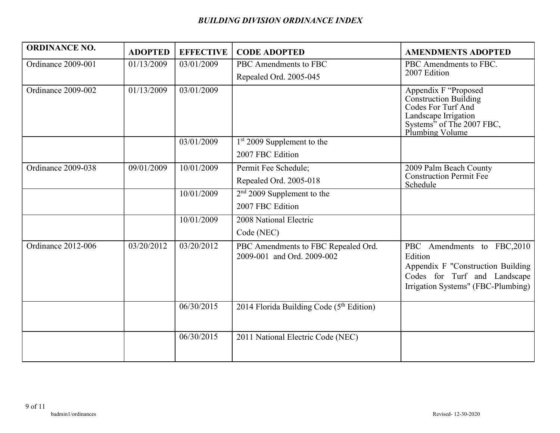| <b>ORDINANCE NO.</b> | <b>ADOPTED</b> | <b>EFFECTIVE</b> | <b>CODE ADOPTED</b>                                               | <b>AMENDMENTS ADOPTED</b>                                                                                                                          |
|----------------------|----------------|------------------|-------------------------------------------------------------------|----------------------------------------------------------------------------------------------------------------------------------------------------|
| Ordinance 2009-001   | 01/13/2009     | 03/01/2009       | PBC Amendments to FBC                                             | PBC Amendments to FBC.                                                                                                                             |
|                      |                |                  | Repealed Ord. 2005-045                                            | 2007 Edition                                                                                                                                       |
| Ordinance 2009-002   | 01/13/2009     | 03/01/2009       |                                                                   | Appendix F "Proposed<br><b>Construction Building</b><br>Codes For Turf And<br>Landscape Irrigation<br>Systems" of The 2007 FBC,<br>Plumbing Volume |
|                      |                | 03/01/2009       | $1st 2009$ Supplement to the                                      |                                                                                                                                                    |
|                      |                |                  | 2007 FBC Edition                                                  |                                                                                                                                                    |
| Ordinance 2009-038   | 09/01/2009     | 10/01/2009       | Permit Fee Schedule;                                              | 2009 Palm Beach County                                                                                                                             |
|                      |                |                  | Repealed Ord. 2005-018                                            | <b>Construction Permit Fee</b><br>Schedule                                                                                                         |
|                      |                | 10/01/2009       | $2nd$ 2009 Supplement to the                                      |                                                                                                                                                    |
|                      |                |                  | 2007 FBC Edition                                                  |                                                                                                                                                    |
|                      |                | 10/01/2009       | 2008 National Electric                                            |                                                                                                                                                    |
|                      |                |                  | Code (NEC)                                                        |                                                                                                                                                    |
| Ordinance 2012-006   | 03/20/2012     | 03/20/2012       | PBC Amendments to FBC Repealed Ord.<br>2009-001 and Ord. 2009-002 | PBC Amendments to FBC,2010<br>Edition<br>Appendix F "Construction Building<br>Codes for Turf and Landscape<br>Irrigation Systems" (FBC-Plumbing)   |
|                      |                | 06/30/2015       | 2014 Florida Building Code $(5th Edition)$                        |                                                                                                                                                    |
|                      |                | 06/30/2015       | 2011 National Electric Code (NEC)                                 |                                                                                                                                                    |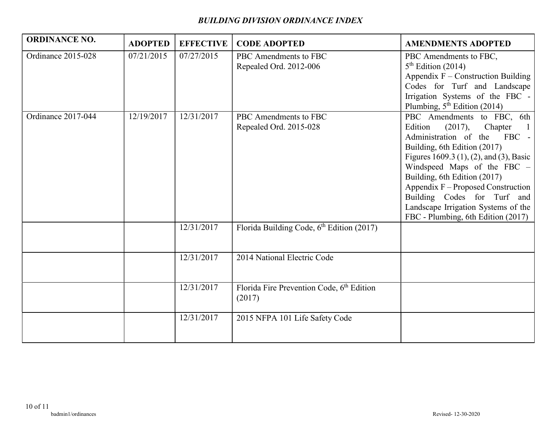| <b>ORDINANCE NO.</b> | <b>ADOPTED</b> | <b>EFFECTIVE</b> | <b>CODE ADOPTED</b>                                             | <b>AMENDMENTS ADOPTED</b>                                                                                                                                                                                                                                                                                                                                                              |
|----------------------|----------------|------------------|-----------------------------------------------------------------|----------------------------------------------------------------------------------------------------------------------------------------------------------------------------------------------------------------------------------------------------------------------------------------------------------------------------------------------------------------------------------------|
| Ordinance 2015-028   | 07/21/2015     | 07/27/2015       | PBC Amendments to FBC<br>Repealed Ord. 2012-006                 | PBC Amendments to FBC,<br>$5th$ Edition (2014)<br>Appendix $F$ – Construction Building<br>Codes for Turf and Landscape<br>Irrigation Systems of the FBC -<br>Plumbing, $5th$ Edition (2014)                                                                                                                                                                                            |
| Ordinance 2017-044   | 12/19/2017     | 12/31/2017       | PBC Amendments to FBC<br>Repealed Ord. 2015-028                 | PBC Amendments to FBC, 6th<br>Edition<br>(2017),<br>Chapter<br>Administration of the FBC -<br>Building, 6th Edition (2017)<br>Figures 1609.3 (1), (2), and (3), Basic<br>Windspeed Maps of the FBC -<br>Building, 6th Edition (2017)<br>Appendix F – Proposed Construction<br>Building Codes for Turf and<br>Landscape Irrigation Systems of the<br>FBC - Plumbing, 6th Edition (2017) |
|                      |                | 12/31/2017       | Florida Building Code, 6 <sup>th</sup> Edition (2017)           |                                                                                                                                                                                                                                                                                                                                                                                        |
|                      |                | 12/31/2017       | 2014 National Electric Code                                     |                                                                                                                                                                                                                                                                                                                                                                                        |
|                      |                | 12/31/2017       | Florida Fire Prevention Code, 6 <sup>th</sup> Edition<br>(2017) |                                                                                                                                                                                                                                                                                                                                                                                        |
|                      |                | 12/31/2017       | 2015 NFPA 101 Life Safety Code                                  |                                                                                                                                                                                                                                                                                                                                                                                        |